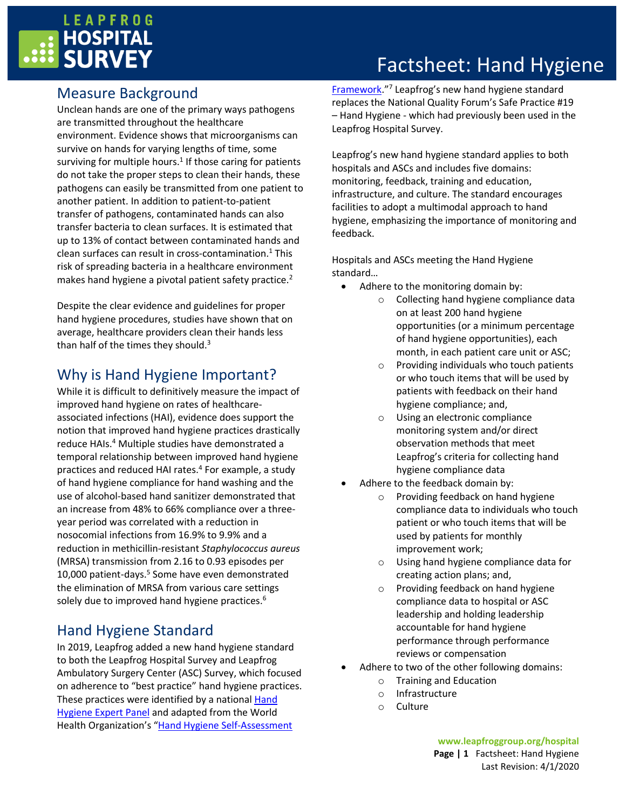

# Factsheet: Hand Hygiene

### Measure Background

Unclean hands are one of the primary ways pathogens are transmitted throughout the healthcare environment. Evidence shows that microorganisms can survive on hands for varying lengths of time, some surviving for multiple hours.<sup>1</sup> If those caring for patients do not take the proper steps to clean their hands, these pathogens can easily be transmitted from one patient to another patient. In addition to patient-to-patient transfer of pathogens, contaminated hands can also transfer bacteria to clean surfaces. It is estimated that up to 13% of contact between contaminated hands and clean surfaces can result in cross-contamination. <sup>1</sup> This risk of spreading bacteria in a healthcare environment makes hand hygiene a pivotal patient safety practice.<sup>2</sup>

Despite the clear evidence and guidelines for proper hand hygiene procedures, studies have shown that on average, healthcare providers clean their hands less than half of the times they should.<sup>3</sup>

### Why is Hand Hygiene Important?

While it is difficult to definitively measure the impact of improved hand hygiene on rates of healthcareassociated infections (HAI), evidence does support the notion that improved hand hygiene practices drastically reduce HAIs.<sup>4</sup> Multiple studies have demonstrated a temporal relationship between improved hand hygiene practices and reduced HAI rates.<sup>4</sup> For example, a study of hand hygiene compliance for hand washing and the use of alcohol-based hand sanitizer demonstrated that an increase from 48% to 66% compliance over a threeyear period was correlated with a reduction in nosocomial infections from 16.9% to 9.9% and a reduction in methicillin-resistant *Staphylococcus aureus* (MRSA) transmission from 2.16 to 0.93 episodes per 10,000 patient-days.<sup>5</sup> Some have even demonstrated the elimination of MRSA from various care settings solely due to improved hand hygiene practices.<sup>6</sup>

## Hand Hygiene Standard

In 2019, Leapfrog added a new hand hygiene standard to both the Leapfrog Hospital Survey and Leapfrog Ambulatory Surgery Center (ASC) Survey, which focused on adherence to "best practice" hand hygiene practices. These practices were identified by a national [Hand](https://www.leapfroggroup.org/about/expert-panelists)  [Hygiene Expert Panel](https://www.leapfroggroup.org/about/expert-panelists) and adapted from the World Health Organization's "[Hand Hygiene Self-Assessment](http://www.who.int/gpsc/5may/hhsa_framework/en/) 

[Framework](http://www.who.int/gpsc/5may/hhsa_framework/en/)."<sup>7</sup> Leapfrog's new hand hygiene standard replaces the National Quality Forum's Safe Practice #19 – Hand Hygiene - which had previously been used in the Leapfrog Hospital Survey.

Leapfrog's new hand hygiene standard applies to both hospitals and ASCs and includes five domains: monitoring, feedback, training and education, infrastructure, and culture. The standard encourages facilities to adopt a multimodal approach to hand hygiene, emphasizing the importance of monitoring and feedback.

Hospitals and ASCs meeting the Hand Hygiene standard…

- Adhere to the monitoring domain by:
	- o Collecting hand hygiene compliance data on at least 200 hand hygiene opportunities (or a minimum percentage of hand hygiene opportunities), each month, in each patient care unit or ASC;
	- o Providing individuals who touch patients or who touch items that will be used by patients with feedback on their hand hygiene compliance; and,
	- o Using an electronic compliance monitoring system and/or direct observation methods that meet Leapfrog's criteria for collecting hand hygiene compliance data
- Adhere to the feedback domain by:
	- o Providing feedback on hand hygiene compliance data to individuals who touch patient or who touch items that will be used by patients for monthly improvement work;
	- o Using hand hygiene compliance data for creating action plans; and,
	- o Providing feedback on hand hygiene compliance data to hospital or ASC leadership and holding leadership accountable for hand hygiene performance through performance reviews or compensation
- Adhere to two of the other following domains:
	- o Training and Education
	- o Infrastructure
	- o Culture

**www.leapfroggroup.org/hospital Page | 1** Factsheet: Hand Hygiene Last Revision: 4/1/2020